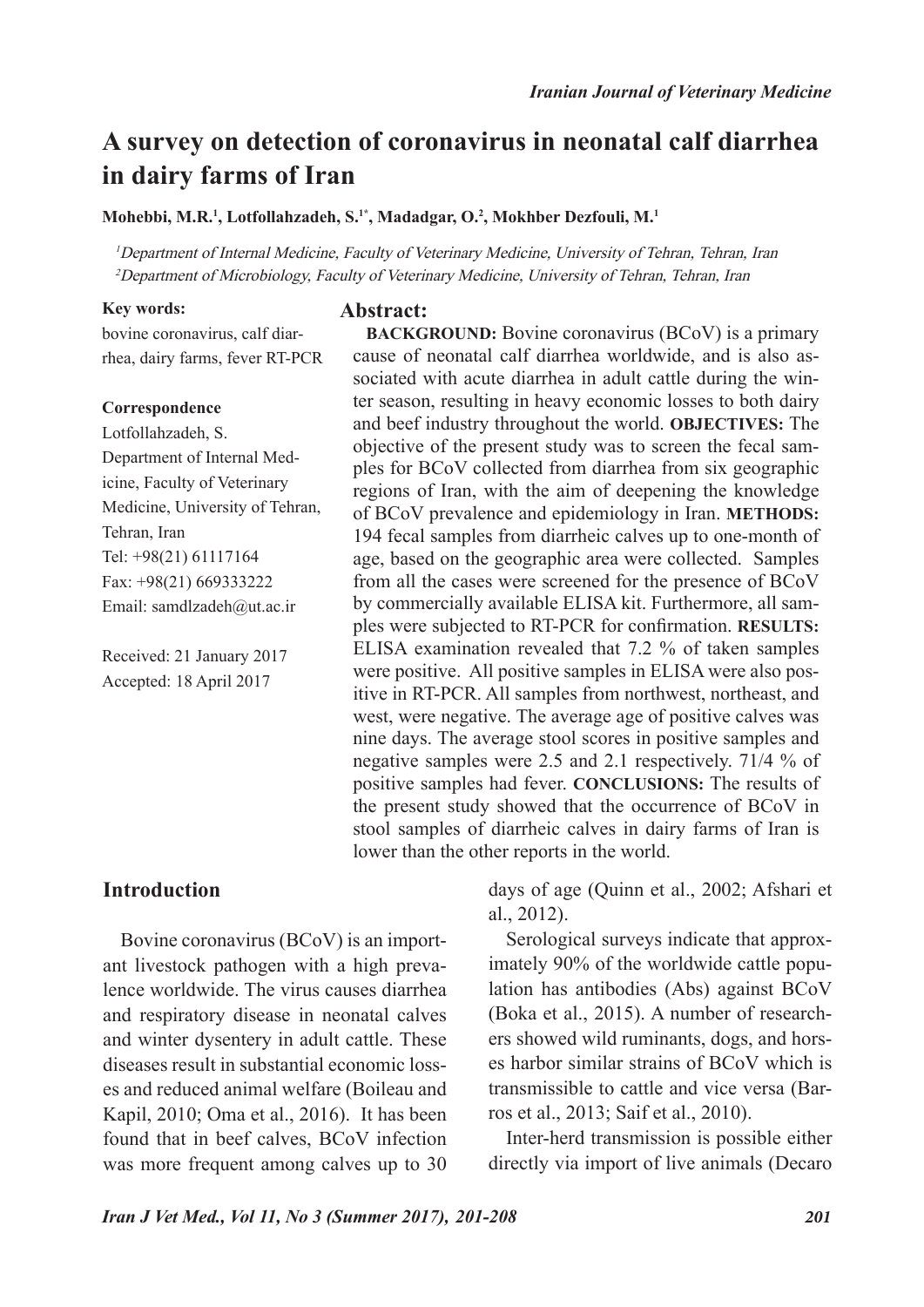# **A survey on detection of coronavirus in neonatal calf diarrhea in dairy farms of Iran**

**Mohebbi, M.R.1 , Lotfollahzadeh, S.1\*, Madadgar, O.2 , Mokhber Dezfouli, M.1**

<sup>1</sup>Department of Internal Medicine, Faculty of Veterinary Medicine, University of Tehran, Tehran, Iran <sup>2</sup>Department of Microbiology, Faculty of Veterinary Medicine, University of Tehran, Tehran, Iran

#### **Key words:**

bovine coronavirus, calf diarrhea, dairy farms, fever RT-PCR

#### **Correspondence**

Lotfollahzadeh, S. Department of Internal Medicine, Faculty of Veterinary Medicine, University of Tehran, Tehran, Iran Tel: +98(21) 61117164 Fax: +98(21) 669333222 Email: samdlzadeh@ut.ac.ir

Received: 21 January 2017 Accepted: 18 April 2017

#### **Abstract:**

**BACKGROUND:** Bovine coronavirus (BCoV) is a primary cause of neonatal calf diarrhea worldwide, and is also associated with acute diarrhea in adult cattle during the winter season, resulting in heavy economic losses to both dairy and beef industry throughout the world. **OBJECTIVES:** The objective of the present study was to screen the fecal samples for BCoV collected from diarrhea from six geographic regions of Iran, with the aim of deepening the knowledge of BCoV prevalence and epidemiology in Iran. **METHODS:**  194 fecal samples from diarrheic calves up to one-month of age, based on the geographic area were collected. Samples from all the cases were screened for the presence of BCoV by commercially available ELISA kit. Furthermore, all samples were subjected to RT-PCR for confirmation. **RESULTS:**  ELISA examination revealed that 7.2 % of taken samples were positive. All positive samples in ELISA were also positive in RT-PCR. All samples from northwest, northeast, and west, were negative. The average age of positive calves was nine days. The average stool scores in positive samples and negative samples were 2.5 and 2.1 respectively. 71/4 % of positive samples had fever. **CONCLUSIONS:** The results of the present study showed that the occurrence of BCoV in stool samples of diarrheic calves in dairy farms of Iran is lower than the other reports in the world.

### **Introduction**

Bovine coronavirus (BCoV) is an important livestock pathogen with a high prevalence worldwide. The virus causes diarrhea and respiratory disease in neonatal calves and winter dysentery in adult cattle. These diseases result in substantial economic losses and reduced animal welfare (Boileau and Kapil, 2010; Oma et al., 2016). It has been found that in beef calves, BCoV infection was more frequent among calves up to 30 days of age (Quinn et al., 2002; Afshari et al., 2012).

Serological surveys indicate that approximately 90% of the worldwide cattle population has antibodies (Abs) against BCoV (Boka et al., 2015). A number of researchers showed wild ruminants, dogs, and horses harbor similar strains of BCoV which is transmissible to cattle and vice versa (Barros et al., 2013; Saif et al., 2010).

Inter-herd transmission is possible either directly via import of live animals (Decaro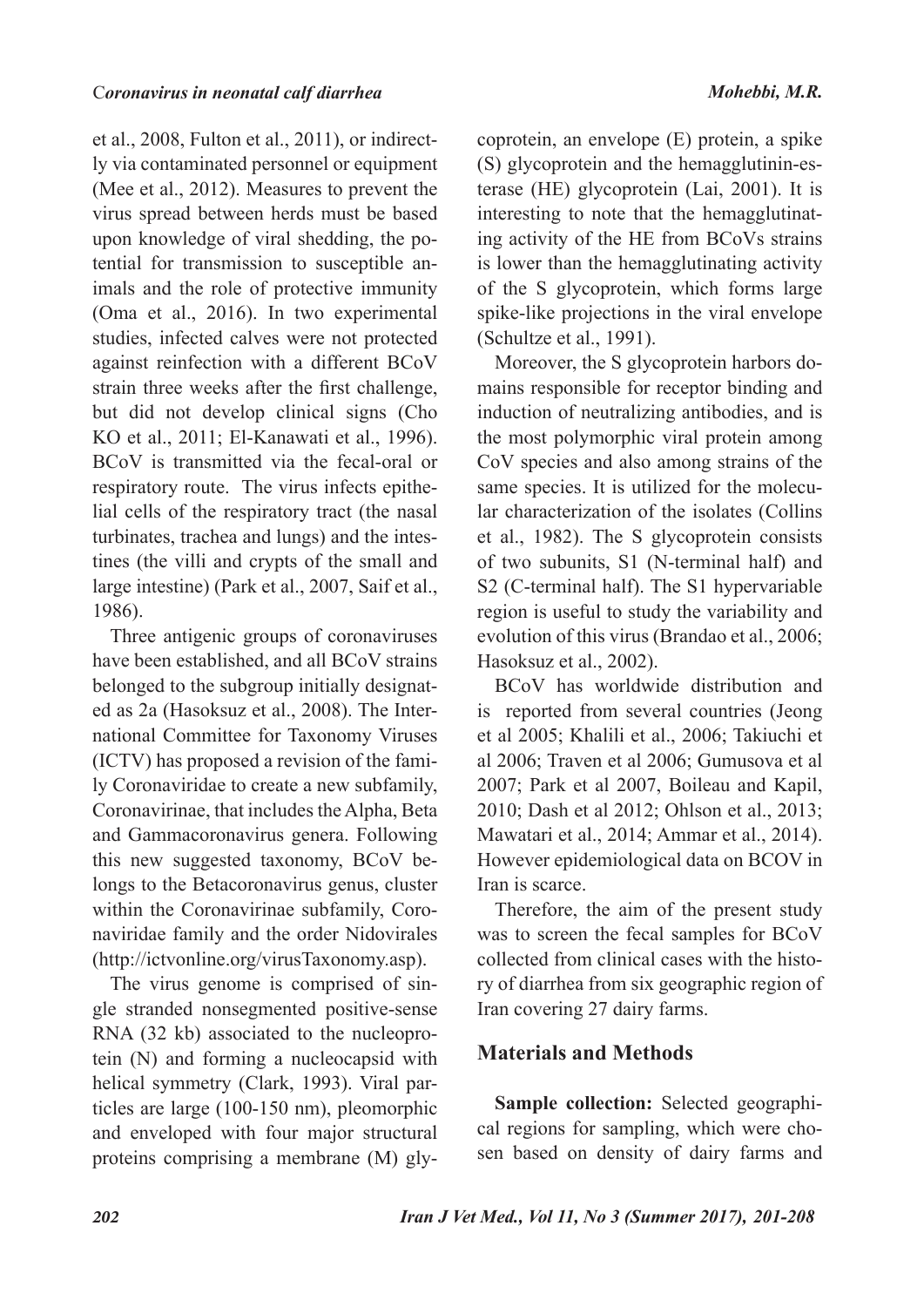et al., 2008, Fulton et al., 2011), or indirectly via contaminated personnel or equipment (Mee et al., 2012). Measures to prevent the virus spread between herds must be based upon knowledge of viral shedding, the potential for transmission to susceptible animals and the role of protective immunity (Oma et al., 2016). In two experimental studies, infected calves were not protected against reinfection with a different BCoV strain three weeks after the first challenge, but did not develop clinical signs (Cho KO et al., 2011; El-Kanawati et al., 1996). BCoV is transmitted via the fecal-oral or respiratory route. The virus infects epithelial cells of the respiratory tract (the nasal turbinates, trachea and lungs) and the intestines (the villi and crypts of the small and large intestine) (Park et al., 2007, Saif et al., 1986).

Three antigenic groups of coronaviruses have been established, and all BCoV strains belonged to the subgroup initially designated as 2a (Hasoksuz et al., 2008). The International Committee for Taxonomy Viruses (ICTV) has proposed a revision of the family Coronaviridae to create a new subfamily, Coronavirinae, that includes the Alpha, Beta and Gammacoronavirus genera. Following this new suggested taxonomy, BCoV belongs to the Betacoronavirus genus, cluster within the Coronavirinae subfamily, Coronaviridae family and the order Nidovirales (http://ictvonline.org/virusTaxonomy.asp).

The virus genome is comprised of single stranded nonsegmented positive-sense RNA (32 kb) associated to the nucleoprotein (N) and forming a nucleocapsid with helical symmetry (Clark, 1993). Viral particles are large (100-150 nm), pleomorphic and enveloped with four major structural proteins comprising a membrane (M) gly-

coprotein, an envelope (E) protein, a spike (S) glycoprotein and the hemagglutinin-esterase (HE) glycoprotein (Lai, 2001). It is interesting to note that the hemagglutinating activity of the HE from BCoVs strains is lower than the hemagglutinating activity of the S glycoprotein, which forms large spike-like projections in the viral envelope (Schultze et al., 1991).

Moreover, the S glycoprotein harbors domains responsible for receptor binding and induction of neutralizing antibodies, and is the most polymorphic viral protein among CoV species and also among strains of the same species. It is utilized for the molecular characterization of the isolates (Collins et al., 1982). The S glycoprotein consists of two subunits, S1 (N-terminal half) and S2 (C-terminal half). The S1 hypervariable region is useful to study the variability and evolution of this virus (Brandao et al., 2006; Hasoksuz et al., 2002).

BCoV has worldwide distribution and is reported from several countries (Jeong et al 2005; Khalili et al., 2006; Takiuchi et al 2006; Traven et al 2006; Gumusova et al 2007; Park et al 2007, Boileau and Kapil, 2010; Dash et al 2012; Ohlson et al., 2013; Mawatari et al., 2014; Ammar et al., 2014). However epidemiological data on BCOV in Iran is scarce.

Therefore, the aim of the present study was to screen the fecal samples for BCoV collected from clinical cases with the history of diarrhea from six geographic region of Iran covering 27 dairy farms.

# **Materials and Methods**

**Sample collection:** Selected geographical regions for sampling, which were chosen based on density of dairy farms and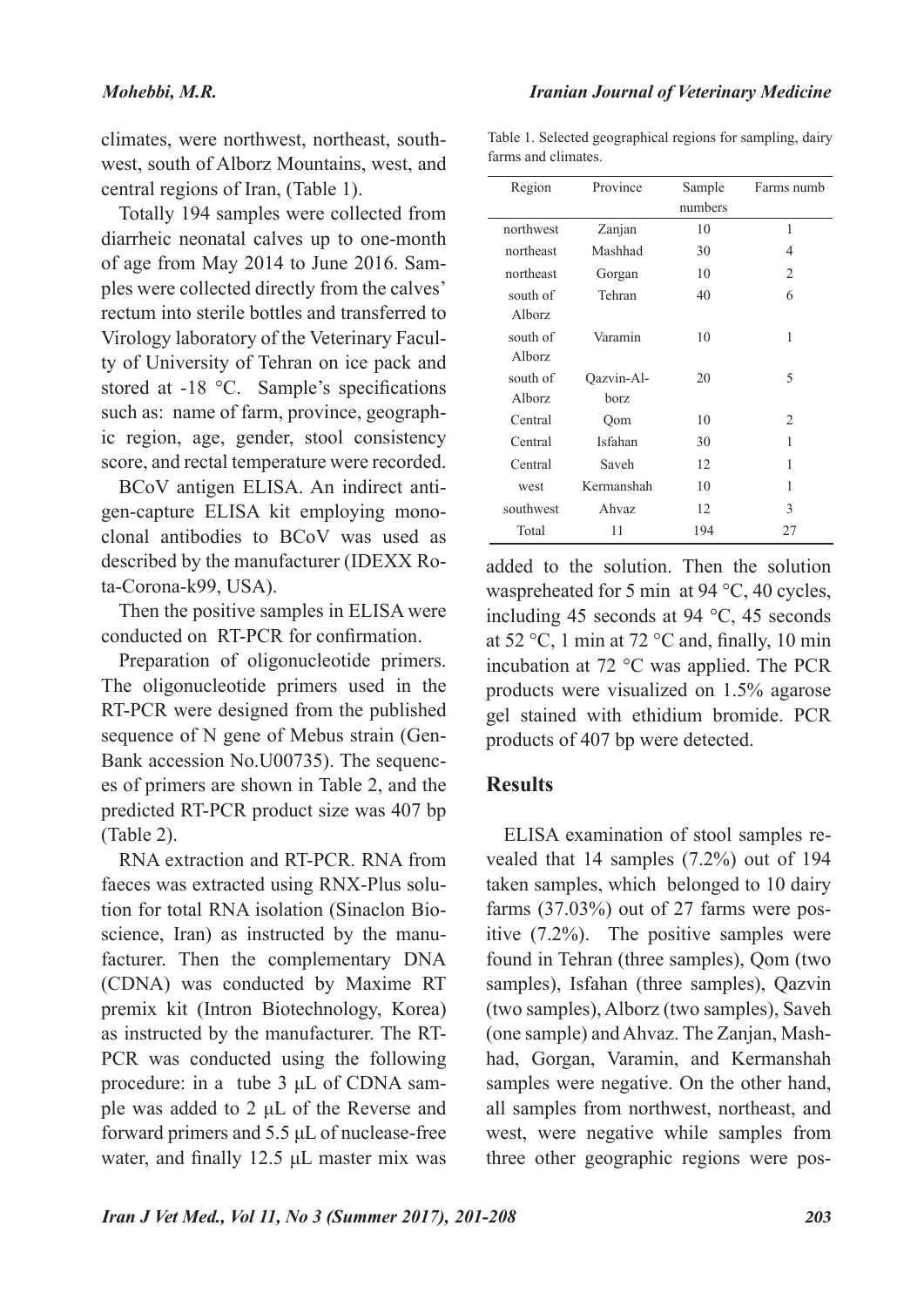climates, were northwest, northeast, southwest, south of Alborz Mountains, west, and central regions of Iran, (Table 1).

Totally 194 samples were collected from diarrheic neonatal calves up to one-month of age from May 2014 to June 2016. Samples were collected directly from the calves' rectum into sterile bottles and transferred to Virology laboratory of the Veterinary Faculty of University of Tehran on ice pack and stored at -18 °C. Sample's specifications such as: name of farm, province, geographic region, age, gender, stool consistency score, and rectal temperature were recorded.

BCoV antigen ELISA. An indirect antigen-capture ELISA kit employing monoclonal antibodies to BCoV was used as described by the manufacturer (IDEXX Rota-Corona-k99, USA).

Then the positive samples in ELISA were conducted on RT-PCR for confirmation.

Preparation of oligonucleotide primers. The oligonucleotide primers used in the RT-PCR were designed from the published sequence of N gene of Mebus strain (Gen-Bank accession No.U00735). The sequences of primers are shown in Table 2, and the predicted RT-PCR product size was 407 bp (Table 2).

RNA extraction and RT-PCR. RNA from faeces was extracted using RNX-Plus solution for total RNA isolation (Sinaclon Bioscience, Iran) as instructed by the manufacturer. Then the complementary DNA (CDNA) was conducted by Maxime RT premix kit (Intron Biotechnology, Korea) as instructed by the manufacturer. The RT-PCR was conducted using the following procedure: in a tube 3 μL of CDNA sample was added to 2 μL of the Reverse and forward primers and 5.5 μL of nuclease-free water, and finally 12.5 μL master mix was

Table 1. Selected geographical regions for sampling, dairy farms and climates.

| Region        | Province   | Sample  | Farms numb                    |
|---------------|------------|---------|-------------------------------|
|               |            | numbers |                               |
| northwest     | Zanjan     | 10      | 1                             |
| northeast     | Mashhad    | 30      | $\overline{4}$                |
| northeast     | Gorgan     | 10      | 2                             |
| south of      | Tehran     | 40      | 6                             |
| <b>Alborz</b> |            |         |                               |
| south of      | Varamin    | 10      | 1                             |
| <b>Alborz</b> |            |         |                               |
| south of      | Qazvin-Al- | 20      | 5                             |
| Alborz        | borz       |         |                               |
| Central       | Qom        | 10      | $\mathfrak{D}_{\mathfrak{p}}$ |
| Central       | Isfahan    | 30      | 1                             |
| Central       | Saveh      | 12      | 1                             |
| west          | Kermanshah | 10      | 1                             |
| southwest     | Ahvaz      | 12      | 3                             |
| Total         | 11         | 194     | 27                            |

added to the solution. Then the solution waspreheated for 5 min at 94 °C, 40 cycles, including 45 seconds at 94 °C, 45 seconds at 52 °C, 1 min at 72 °C and, finally, 10 min incubation at 72 °C was applied. The PCR products were visualized on 1.5% agarose gel stained with ethidium bromide. PCR products of 407 bp were detected.

## **Results**

ELISA examination of stool samples revealed that 14 samples (7.2%) out of 194 taken samples, which belonged to 10 dairy farms (37.03%) out of 27 farms were positive (7.2%). The positive samples were found in Tehran (three samples), Qom (two samples), Isfahan (three samples), Qazvin (two samples), Alborz (two samples), Saveh (one sample) and Ahvaz. The Zanjan, Mashhad, Gorgan, Varamin, and Kermanshah samples were negative. On the other hand, all samples from northwest, northeast, and west, were negative while samples from three other geographic regions were pos-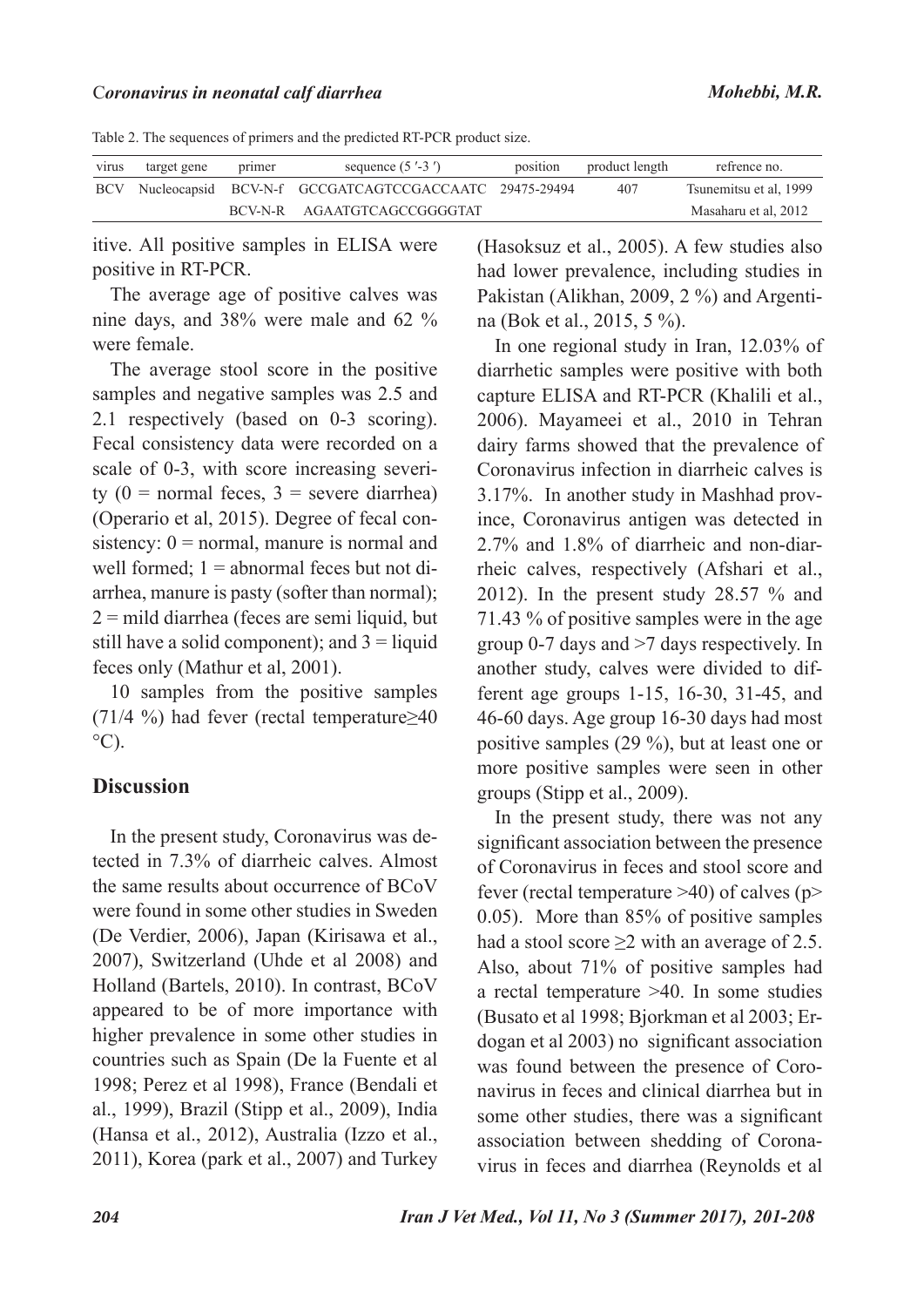#### C*oronavirus in neonatal calf diarrhea Mohebbi, M.R.*

|  |  |  |  | Table 2. The sequences of primers and the predicted RT-PCR product size. |
|--|--|--|--|--------------------------------------------------------------------------|
|--|--|--|--|--------------------------------------------------------------------------|

| virus | target gene | primer | sequence $(5' - 3')$                                      | position | product length | refrence no.           |
|-------|-------------|--------|-----------------------------------------------------------|----------|----------------|------------------------|
|       |             |        | BCV Nucleocapsid BCV-N-f GCCGATCAGTCCGACCAATC 29475-29494 |          | 407            | Tsunemitsu et al. 1999 |
|       |             |        | BCV-N-R AGAATGTCAGCCGGGGTAT                               |          |                | Masaharu et al, 2012   |

itive. All positive samples in ELISA were positive in RT-PCR.

The average age of positive calves was nine days, and 38% were male and 62 % were female.

The average stool score in the positive samples and negative samples was 2.5 and 2.1 respectively (based on 0-3 scoring). Fecal consistency data were recorded on a scale of 0-3, with score increasing severity  $(0 = normal$  feces,  $3 =$  severe diarrhea) (Operario et al, 2015). Degree of fecal consistency:  $0 = normal$ , manure is normal and well formed;  $1 =$  abnormal feces but not diarrhea, manure is pasty (softer than normal);  $2 =$  mild diarrhea (feces are semi liquid, but still have a solid component); and  $3 =$  liquid feces only (Mathur et al, 2001).

10 samples from the positive samples (71/4 %) had fever (rectal temperature≥40  $^{\circ}$ C).

## **Discussion**

In the present study, Coronavirus was detected in 7.3% of diarrheic calves. Almost the same results about occurrence of BCoV were found in some other studies in Sweden (De Verdier, 2006), Japan (Kirisawa et al., 2007), Switzerland (Uhde et al 2008) and Holland (Bartels, 2010). In contrast, BCoV appeared to be of more importance with higher prevalence in some other studies in countries such as Spain (De la Fuente et al 1998; Perez et al 1998), France (Bendali et al., 1999), Brazil (Stipp et al., 2009), India (Hansa et al., 2012), Australia (Izzo et al., 2011), Korea (park et al., 2007) and Turkey

(Hasoksuz et al., 2005). A few studies also had lower prevalence, including studies in Pakistan (Alikhan, 2009, 2 %) and Argentina (Bok et al., 2015, 5 %).

In one regional study in Iran, 12.03% of diarrhetic samples were positive with both capture ELISA and RT-PCR (Khalili et al., 2006). Mayameei et al., 2010 in Tehran dairy farms showed that the prevalence of Coronavirus infection in diarrheic calves is 3.17%. In another study in Mashhad province, Coronavirus antigen was detected in 2.7% and 1.8% of diarrheic and non-diarrheic calves, respectively (Afshari et al., 2012). In the present study 28.57 % and 71.43 % of positive samples were in the age group 0-7 days and >7 days respectively. In another study, calves were divided to different age groups 1-15, 16-30, 31-45, and 46-60 days. Age group 16-30 days had most positive samples (29 %), but at least one or more positive samples were seen in other groups (Stipp et al., 2009).

In the present study, there was not any significant association between the presence of Coronavirus in feces and stool score and fever (rectal temperature  $>40$ ) of calves (p $>$ 0.05). More than 85% of positive samples had a stool score  $\geq$ 2 with an average of 2.5. Also, about 71% of positive samples had a rectal temperature >40. In some studies (Busato et al 1998; Bjorkman et al 2003; Erdogan et al 2003) no significant association was found between the presence of Coronavirus in feces and clinical diarrhea but in some other studies, there was a significant association between shedding of Coronavirus in feces and diarrhea (Reynolds et al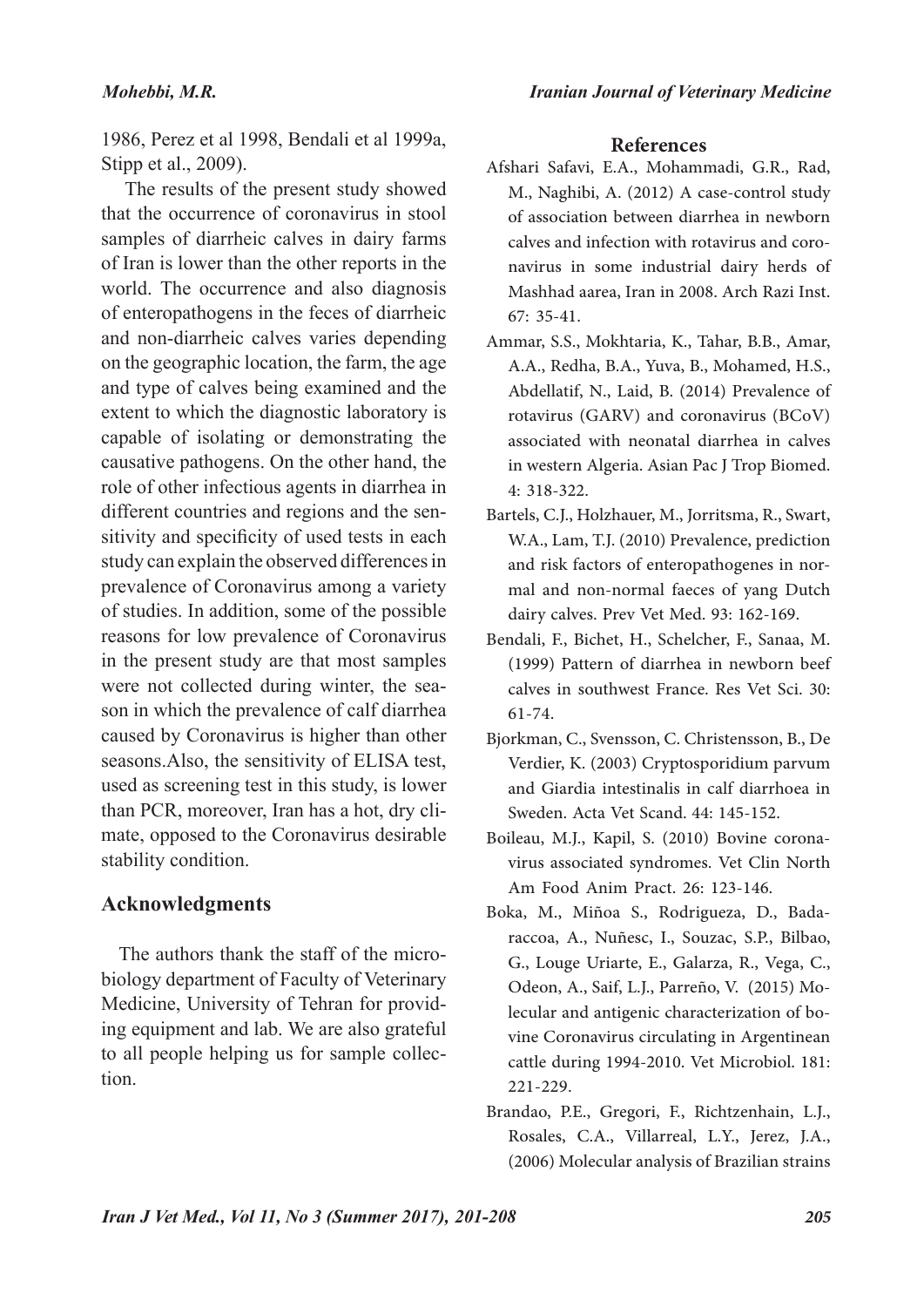1986, Perez et al 1998, Bendali et al 1999a, Stipp et al., 2009).

 The results of the present study showed that the occurrence of coronavirus in stool samples of diarrheic calves in dairy farms of Iran is lower than the other reports in the world. The occurrence and also diagnosis of enteropathogens in the feces of diarrheic and non-diarrheic calves varies depending on the geographic location, the farm, the age and type of calves being examined and the extent to which the diagnostic laboratory is capable of isolating or demonstrating the causative pathogens. On the other hand, the role of other infectious agents in diarrhea in different countries and regions and the sensitivity and specificity of used tests in each study can explain the observed differences in prevalence of Coronavirus among a variety of studies. In addition, some of the possible reasons for low prevalence of Coronavirus in the present study are that most samples were not collected during winter, the season in which the prevalence of calf diarrhea caused by Coronavirus is higher than other seasons.Also, the sensitivity of ELISA test, used as screening test in this study, is lower than PCR, moreover, Iran has a hot, dry climate, opposed to the Coronavirus desirable stability condition.

## **Acknowledgments**

The authors thank the staff of the microbiology department of Faculty of Veterinary Medicine, University of Tehran for providing equipment and lab. We are also grateful to all people helping us for sample collection.

### **References**

- Afshari Safavi, E.A., Mohammadi, G.R., Rad, M., Naghibi, A. (2012) A case-control study of association between diarrhea in newborn calves and infection with rotavirus and coronavirus in some industrial dairy herds of Mashhad aarea, Iran in 2008. Arch Razi Inst. 67: 35-41.
- Ammar, S.S., Mokhtaria, K., Tahar, B.B., Amar, A.A., Redha, B.A., Yuva, B., Mohamed, H.S., Abdellatif, N., Laid, B. (2014) Prevalence of rotavirus (GARV) and coronavirus (BCoV) associated with neonatal diarrhea in calves in western Algeria. Asian Pac J Trop Biomed. 4: 318-322.
- Bartels, C.J., Holzhauer, M., Jorritsma, R., Swart, W.A., Lam, T.J. (2010) Prevalence, prediction and risk factors of enteropathogenes in normal and non-normal faeces of yang Dutch dairy calves. Prev Vet Med. 93: 162-169.
- Bendali, F., Bichet, H., Schelcher, F., Sanaa, M. (1999) Pattern of diarrhea in newborn beef calves in southwest France. Res Vet Sci. 30: 61-74.
- Bjorkman, C., Svensson, C. Christensson, B., De Verdier, K. (2003) Cryptosporidium parvum and Giardia intestinalis in calf diarrhoea in Sweden. Acta Vet Scand. 44: 145-152.
- Boileau, M.J., Kapil, S. (2010) Bovine coronavirus associated syndromes. Vet Clin North Am Food Anim Pract. 26: 123-146.
- Boka, M., Miñoa S., Rodrigueza, D., Badaraccoa, A., Nuñesc, I., Souzac, S.P., Bilbao, G., Louge Uriarte, E., Galarza, R., Vega, C., Odeon, A., Saif, L.J., Parreño, V. (2015) Molecular and antigenic characterization of bovine Coronavirus circulating in Argentinean cattle during 1994-2010. Vet Microbiol. 181: 221-229.
- Brandao, P.E., Gregori, F., Richtzenhain, L.J., Rosales, C.A., Villarreal, L.Y., Jerez, J.A., (2006) Molecular analysis of Brazilian strains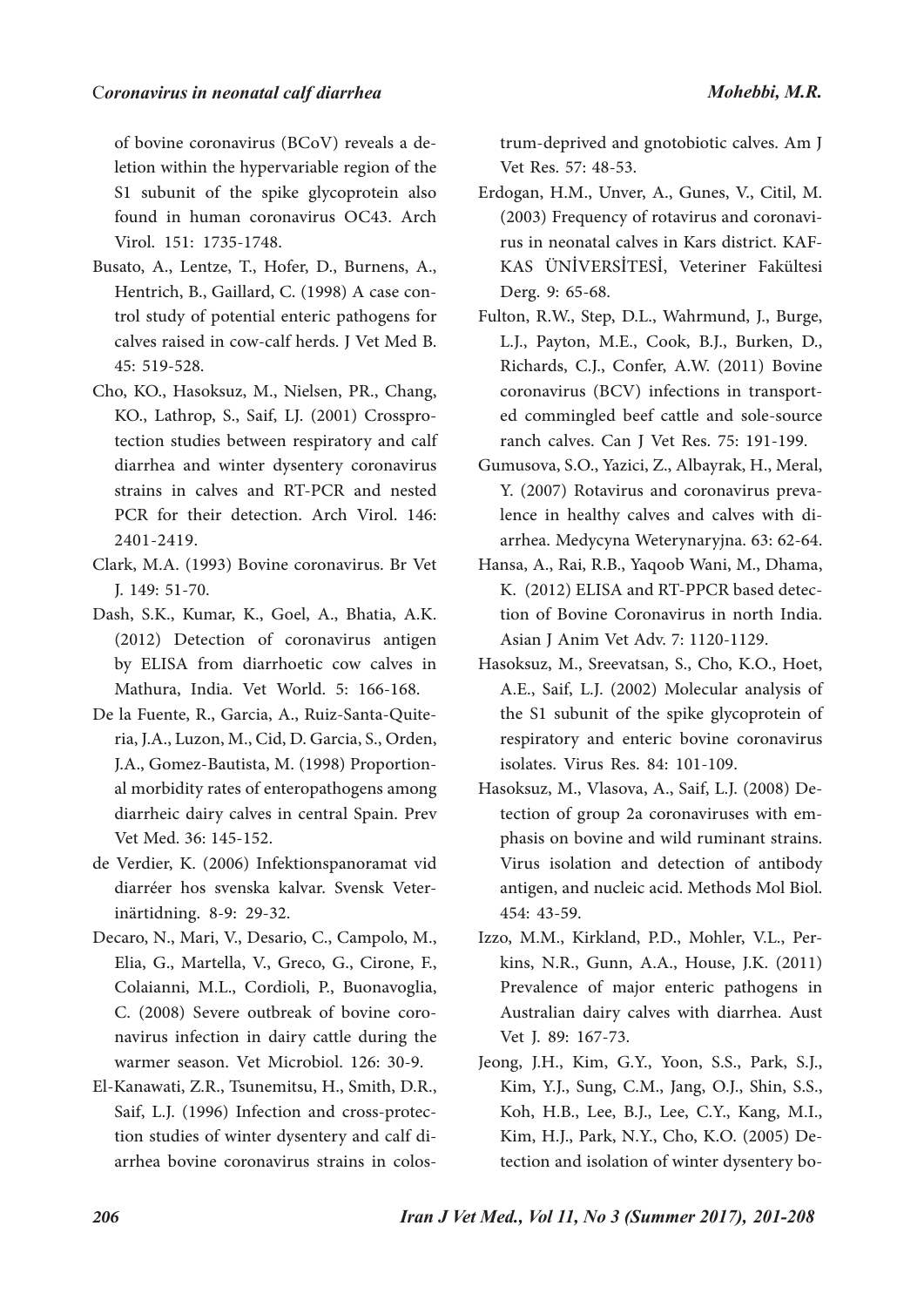of bovine coronavirus (BCoV) reveals a deletion within the hypervariable region of the S1 subunit of the spike glycoprotein also found in human coronavirus OC43. Arch Virol. 151: 1735-1748.

- Busato, A., Lentze, T., Hofer, D., Burnens, A., Hentrich, B., Gaillard, C. (1998) A case control study of potential enteric pathogens for calves raised in cow-calf herds. J Vet Med B. 45: 519-528.
- Cho, KO., Hasoksuz, M., Nielsen, PR., Chang, KO., Lathrop, S., Saif, LJ. (2001) Crossprotection studies between respiratory and calf diarrhea and winter dysentery coronavirus strains in calves and RT-PCR and nested PCR for their detection. Arch Virol. 146: 2401-2419.
- Clark, M.A. (1993) Bovine coronavirus. Br Vet J. 149: 51-70.
- Dash, S.K., Kumar, K., Goel, A., Bhatia, A.K. (2012) Detection of coronavirus antigen by ELISA from diarrhoetic cow calves in Mathura, India. Vet World. 5: 166-168.
- De la Fuente, R., Garcia, A., Ruiz-Santa-Quiteria, J.A., Luzon, M., Cid, D. Garcia, S., Orden, J.A., Gomez-Bautista, M. (1998) Proportional morbidity rates of enteropathogens among diarrheic dairy calves in central Spain. Prev Vet Med. 36: 145-152.
- de Verdier, K. (2006) Infektionspanoramat vid diarréer hos svenska kalvar. Svensk Veterinärtidning. 8-9: 29-32.
- Decaro, N., Mari, V., Desario, C., Campolo, M., Elia, G., Martella, V., Greco, G., Cirone, F., Colaianni, M.L., Cordioli, P., Buonavoglia, C. (2008) Severe outbreak of bovine coronavirus infection in dairy cattle during the warmer season. Vet Microbiol. 126: 30-9.
- El-Kanawati, Z.R., Tsunemitsu, H., Smith, D.R., Saif, L.J. (1996) Infection and cross-protection studies of winter dysentery and calf diarrhea bovine coronavirus strains in colos-

trum-deprived and gnotobiotic calves. Am J Vet Res. 57: 48-53.

- Erdogan, H.M., Unver, A., Gunes, V., Citil, M. (2003) Frequency of rotavirus and coronavirus in neonatal calves in Kars district. KAF-KAS ÜNİVERSİTESİ, Veteriner Fakültesi Derg. 9: 65-68.
- Fulton, R.W., Step, D.L., Wahrmund, J., Burge, L.J., Payton, M.E., Cook, B.J., Burken, D., Richards, C.J., Confer, A.W. (2011) Bovine coronavirus (BCV) infections in transported commingled beef cattle and sole-source ranch calves. Can J Vet Res. 75: 191-199.
- Gumusova, S.O., Yazici, Z., Albayrak, H., Meral, Y. (2007) Rotavirus and coronavirus prevalence in healthy calves and calves with diarrhea. Medycyna Weterynaryjna. 63: 62-64.
- Hansa, A., Rai, R.B., Yaqoob Wani, M., Dhama, K. (2012) ELISA and RT-PPCR based detection of Bovine Coronavirus in north India. Asian J Anim Vet Adv. 7: 1120-1129.
- Hasoksuz, M., Sreevatsan, S., Cho, K.O., Hoet, A.E., Saif, L.J. (2002) Molecular analysis of the S1 subunit of the spike glycoprotein of respiratory and enteric bovine coronavirus isolates. Virus Res. 84: 101-109.
- Hasoksuz, M., Vlasova, A., Saif, L.J. (2008) Detection of group 2a coronaviruses with emphasis on bovine and wild ruminant strains. Virus isolation and detection of antibody antigen, and nucleic acid. Methods Mol Biol. 454: 43-59.
- Izzo, M.M., Kirkland, P.D., Mohler, V.L., Perkins, N.R., Gunn, A.A., House, J.K. (2011) Prevalence of major enteric pathogens in Australian dairy calves with diarrhea. Aust Vet J. 89: 167-73.
- Jeong, J.H., Kim, G.Y., Yoon, S.S., Park, S.J., Kim, Y.J., Sung, C.M., Jang, O.J., Shin, S.S., Koh, H.B., Lee, B.J., Lee, C.Y., Kang, M.I., Kim, H.J., Park, N.Y., Cho, K.O. (2005) Detection and isolation of winter dysentery bo-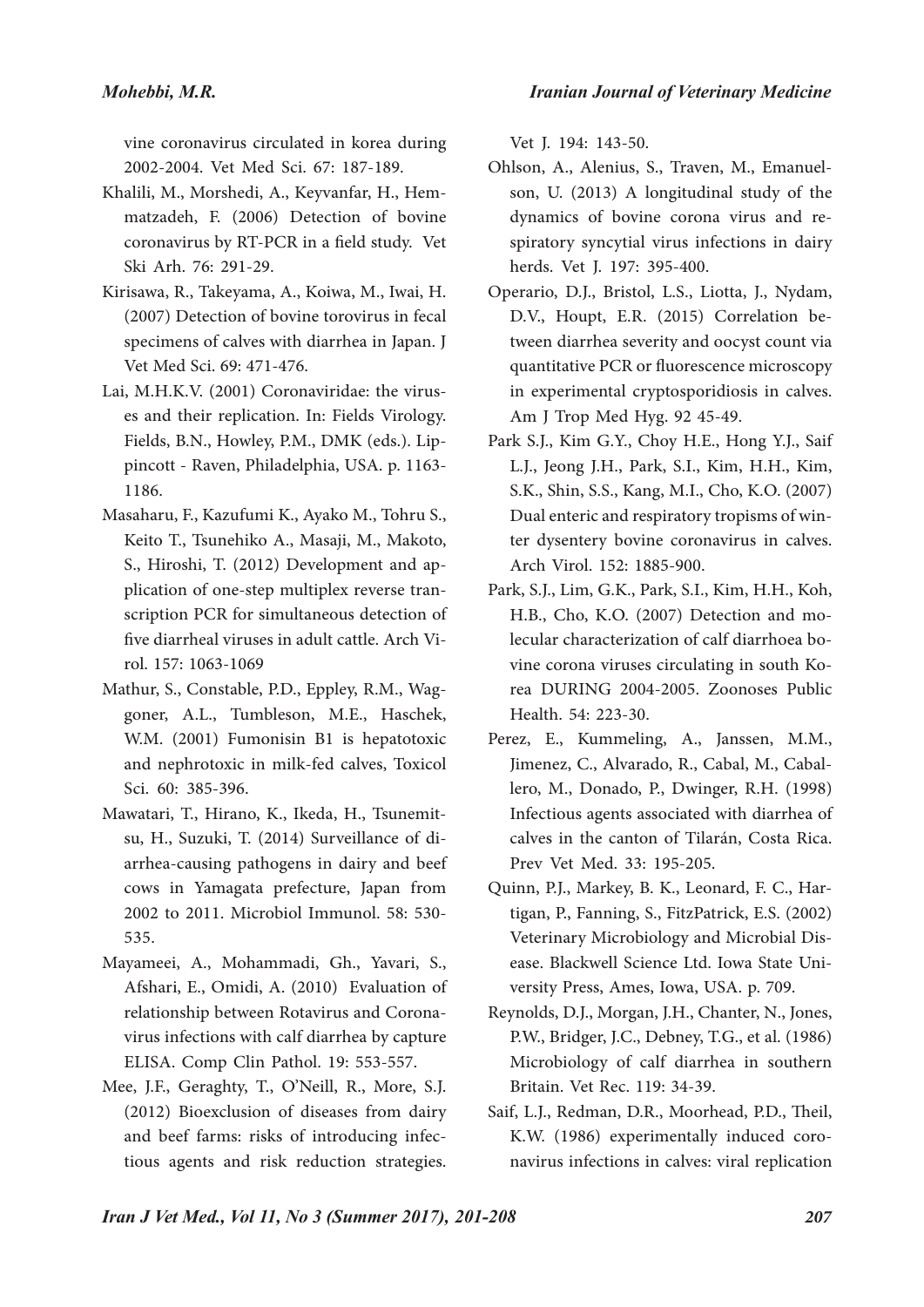*Iranian Journal of Veterinary Medicine*

vine coronavirus circulated in korea during 2002-2004. Vet Med Sci. 67: 187-189.

- Khalili, M., Morshedi, A., Keyvanfar, H., Hemmatzadeh, F. (2006) Detection of bovine coronavirus by RT-PCR in a field study. Vet Ski Arh. 76: 291-29.
- Kirisawa, R., Takeyama, A., Koiwa, M., Iwai, H. (2007) Detection of bovine torovirus in fecal specimens of calves with diarrhea in Japan. J Vet Med Sci. 69: 471-476.
- Lai, M.H.K.V. (2001) Coronaviridae: the viruses and their replication. In: Fields Virology. Fields, B.N., Howley, P.M., DMK (eds.). Lippincott - Raven, Philadelphia, USA. p. 1163- 1186.
- Masaharu, F., Kazufumi K., Ayako M., Tohru S., Keito T., Tsunehiko A., Masaji, M., Makoto, S., Hiroshi, T. (2012) Development and application of one-step multiplex reverse transcription PCR for simultaneous detection of five diarrheal viruses in adult cattle. Arch Virol. 157: 1063-1069
- Mathur, S., Constable, P.D., Eppley, R.M., Waggoner, A.L., Tumbleson, M.E., Haschek, W.M. (2001) Fumonisin B1 is hepatotoxic and nephrotoxic in milk-fed calves, Toxicol Sci. 60: 385-396.
- Mawatari, T., Hirano, K., Ikeda, H., Tsunemitsu, H., Suzuki, T. (2014) Surveillance of diarrhea-causing pathogens in dairy and beef cows in Yamagata prefecture, Japan from 2002 to 2011. Microbiol Immunol. 58: 530- 535.
- Mayameei, A., Mohammadi, Gh., Yavari, S., Afshari, E., Omidi, A. (2010) Evaluation of relationship between Rotavirus and Coronavirus infections with calf diarrhea by capture ELISA. Comp Clin Pathol. 19: 553-557.
- Mee, J.F., Geraghty, T., O'Neill, R., More, S.J. (2012) Bioexclusion of diseases from dairy and beef farms: risks of introducing infectious agents and risk reduction strategies.

Vet J. 194: 143-50.

- Ohlson, A., Alenius, S., Traven, M., Emanuelson, U. (2013) A longitudinal study of the dynamics of bovine corona virus and respiratory syncytial virus infections in dairy herds. Vet J. 197: 395-400.
- Operario, D.J., Bristol, L.S., Liotta, J., Nydam, D.V., Houpt, E.R. (2015) Correlation between diarrhea severity and oocyst count via quantitative PCR or fluorescence microscopy in experimental cryptosporidiosis in calves. Am J Trop Med Hyg. 92 45-49.
- Park S.J., Kim G.Y., Choy H.E., Hong Y.J., Saif L.J., Jeong J.H., Park, S.I., Kim, H.H., Kim, S.K., Shin, S.S., Kang, M.I., Cho, K.O. (2007) Dual enteric and respiratory tropisms of winter dysentery bovine coronavirus in calves. Arch Virol. 152: 1885-900.
- Park, S.J., Lim, G.K., Park, S.I., Kim, H.H., Koh, H.B., Cho, K.O. (2007) Detection and molecular characterization of calf diarrhoea bovine corona viruses circulating in south Korea DURING 2004-2005. Zoonoses Public Health. 54: 223-30.
- Perez, E., Kummeling, A., Janssen, M.M., Jimenez, C., Alvarado, R., Cabal, M., Caballero, M., Donado, P., Dwinger, R.H. (1998) Infectious agents associated with diarrhea of calves in the canton of Tilarán, Costa Rica. Prev Vet Med. 33: 195-205.
- Quinn, P.J., Markey, B. K., Leonard, F. C., Hartigan, P., Fanning, S., FitzPatrick, E.S. (2002) Veterinary Microbiology and Microbial Disease. Blackwell Science Ltd. Iowa State University Press, Ames, Iowa, USA. p. 709.
- Reynolds, D.J., Morgan, J.H., Chanter, N., Jones, P.W., Bridger, J.C., Debney, T.G., et al. (1986) Microbiology of calf diarrhea in southern Britain. Vet Rec. 119: 34-39.
- Saif, L.J., Redman, D.R., Moorhead, P.D., Theil, K.W. (1986) experimentally induced coronavirus infections in calves: viral replication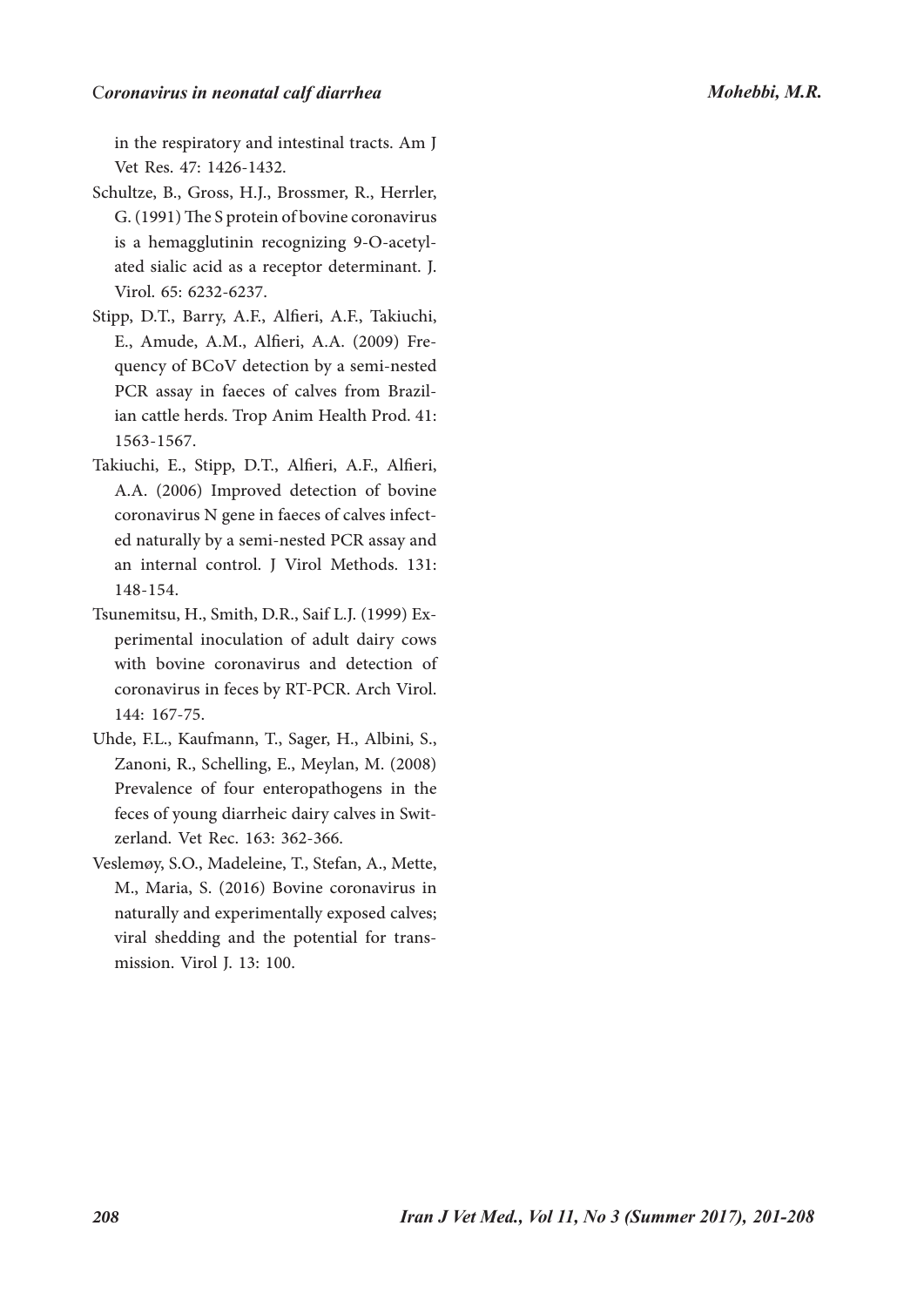#### C*oronavirus in neonatal calf diarrhea Mohebbi, M.R.*

in the respiratory and intestinal tracts. Am J Vet Res. 47: 1426-1432.

- Schultze, B., Gross, H.J., Brossmer, R., Herrler, G. (1991) The S protein of bovine coronavirus is a hemagglutinin recognizing 9-O-acetylated sialic acid as a receptor determinant. J. Virol. 65: 6232-6237.
- Stipp, D.T., Barry, A.F., Alfieri, A.F., Takiuchi, E., Amude, A.M., Alfieri, A.A. (2009) Frequency of BCoV detection by a semi-nested PCR assay in faeces of calves from Brazilian cattle herds. Trop Anim Health Prod. 41: 1563-1567.
- Takiuchi, E., Stipp, D.T., Alfieri, A.F., Alfieri, A.A. (2006) Improved detection of bovine coronavirus N gene in faeces of calves infected naturally by a semi-nested PCR assay and an internal control. J Virol Methods. 131: 148-154.
- Tsunemitsu, H., Smith, D.R., Saif L.J. (1999) Experimental inoculation of adult dairy cows with bovine coronavirus and detection of coronavirus in feces by RT-PCR. Arch Virol. 144: 167-75.
- Uhde, F.L., Kaufmann, T., Sager, H., Albini, S., Zanoni, R., Schelling, E., Meylan, M. (2008) Prevalence of four enteropathogens in the feces of young diarrheic dairy calves in Switzerland. Vet Rec. 163: 362-366.
- Veslemøy, S.O., Madeleine, T., Stefan, A., Mette, M., Maria, S. (2016) Bovine coronavirus in naturally and experimentally exposed calves; viral shedding and the potential for transmission. Virol J. 13: 100.